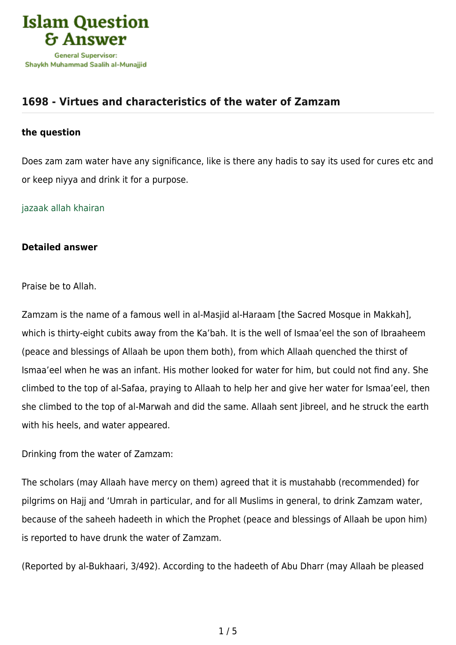

## **[1698 - Virtues and characteristics of the water of Zamzam](https://islamqa.com/en/answers/1698/virtues-and-characteristics-of-the-water-of-zamzam)**

## **the question**

Does zam zam water have any significance, like is there any hadis to say its used for cures etc and or keep niyya and drink it for a purpose.

## jazaak allah khairan

## **Detailed answer**

Praise be to Allah.

Zamzam is the name of a famous well in al-Masjid al-Haraam [the Sacred Mosque in Makkah], which is thirty-eight cubits away from the Ka'bah. It is the well of Ismaa'eel the son of Ibraaheem (peace and blessings of Allaah be upon them both), from which Allaah quenched the thirst of Ismaa'eel when he was an infant. His mother looked for water for him, but could not find any. She climbed to the top of al-Safaa, praying to Allaah to help her and give her water for Ismaa'eel, then she climbed to the top of al-Marwah and did the same. Allaah sent Jibreel, and he struck the earth with his heels, and water appeared.

Drinking from the water of Zamzam:

The scholars (may Allaah have mercy on them) agreed that it is mustahabb (recommended) for pilgrims on Hajj and 'Umrah in particular, and for all Muslims in general, to drink Zamzam water, because of the saheeh hadeeth in which the Prophet (peace and blessings of Allaah be upon him) is reported to have drunk the water of Zamzam.

(Reported by al-Bukhaari, 3/492). According to the hadeeth of Abu Dharr (may Allaah be pleased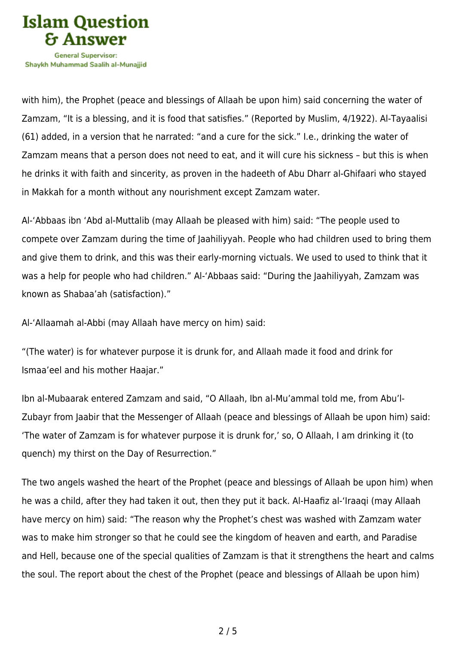

with him), the Prophet (peace and blessings of Allaah be upon him) said concerning the water of Zamzam, "It is a blessing, and it is food that satisfies." (Reported by Muslim, 4/1922). Al-Tayaalisi (61) added, in a version that he narrated: "and a cure for the sick." I.e., drinking the water of Zamzam means that a person does not need to eat, and it will cure his sickness – but this is when he drinks it with faith and sincerity, as proven in the hadeeth of Abu Dharr al-Ghifaari who stayed in Makkah for a month without any nourishment except Zamzam water.

Al-'Abbaas ibn 'Abd al-Muttalib (may Allaah be pleased with him) said: "The people used to compete over Zamzam during the time of Jaahiliyyah. People who had children used to bring them and give them to drink, and this was their early-morning victuals. We used to used to think that it was a help for people who had children." Al-'Abbaas said: "During the Jaahiliyyah, Zamzam was known as Shabaa'ah (satisfaction)."

Al-'Allaamah al-Abbi (may Allaah have mercy on him) said:

"(The water) is for whatever purpose it is drunk for, and Allaah made it food and drink for Ismaa'eel and his mother Haajar."

Ibn al-Mubaarak entered Zamzam and said, "O Allaah, Ibn al-Mu'ammal told me, from Abu'l-Zubayr from Jaabir that the Messenger of Allaah (peace and blessings of Allaah be upon him) said: 'The water of Zamzam is for whatever purpose it is drunk for,' so, O Allaah, I am drinking it (to quench) my thirst on the Day of Resurrection."

The two angels washed the heart of the Prophet (peace and blessings of Allaah be upon him) when he was a child, after they had taken it out, then they put it back. Al-Haafiz al-'Iraaqi (may Allaah have mercy on him) said: "The reason why the Prophet's chest was washed with Zamzam water was to make him stronger so that he could see the kingdom of heaven and earth, and Paradise and Hell, because one of the special qualities of Zamzam is that it strengthens the heart and calms the soul. The report about the chest of the Prophet (peace and blessings of Allaah be upon him)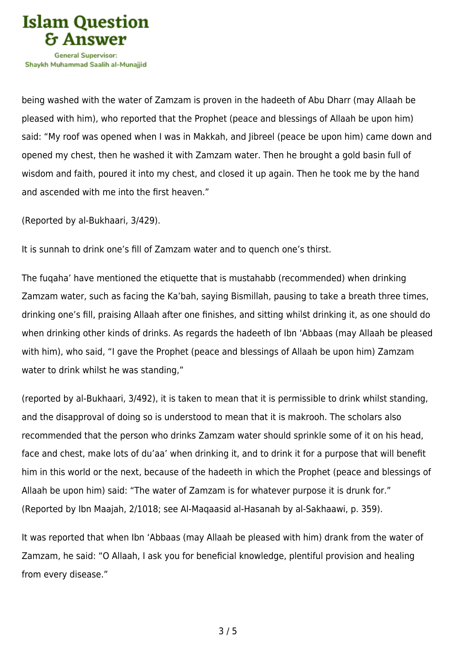

being washed with the water of Zamzam is proven in the hadeeth of Abu Dharr (may Allaah be pleased with him), who reported that the Prophet (peace and blessings of Allaah be upon him) said: "My roof was opened when I was in Makkah, and Jibreel (peace be upon him) came down and opened my chest, then he washed it with Zamzam water. Then he brought a gold basin full of wisdom and faith, poured it into my chest, and closed it up again. Then he took me by the hand and ascended with me into the first heaven."

(Reported by al-Bukhaari, 3/429).

It is sunnah to drink one's fill of Zamzam water and to quench one's thirst.

The fuqaha' have mentioned the etiquette that is mustahabb (recommended) when drinking Zamzam water, such as facing the Ka'bah, saying Bismillah, pausing to take a breath three times, drinking one's fill, praising Allaah after one finishes, and sitting whilst drinking it, as one should do when drinking other kinds of drinks. As regards the hadeeth of Ibn 'Abbaas (may Allaah be pleased with him), who said, "I gave the Prophet (peace and blessings of Allaah be upon him) Zamzam water to drink whilst he was standing,"

(reported by al-Bukhaari, 3/492), it is taken to mean that it is permissible to drink whilst standing, and the disapproval of doing so is understood to mean that it is makrooh. The scholars also recommended that the person who drinks Zamzam water should sprinkle some of it on his head, face and chest, make lots of du'aa' when drinking it, and to drink it for a purpose that will benefit him in this world or the next, because of the hadeeth in which the Prophet (peace and blessings of Allaah be upon him) said: "The water of Zamzam is for whatever purpose it is drunk for." (Reported by Ibn Maajah, 2/1018; see Al-Maqaasid al-Hasanah by al-Sakhaawi, p. 359).

It was reported that when Ibn 'Abbaas (may Allaah be pleased with him) drank from the water of Zamzam, he said: "O Allaah, I ask you for beneficial knowledge, plentiful provision and healing from every disease."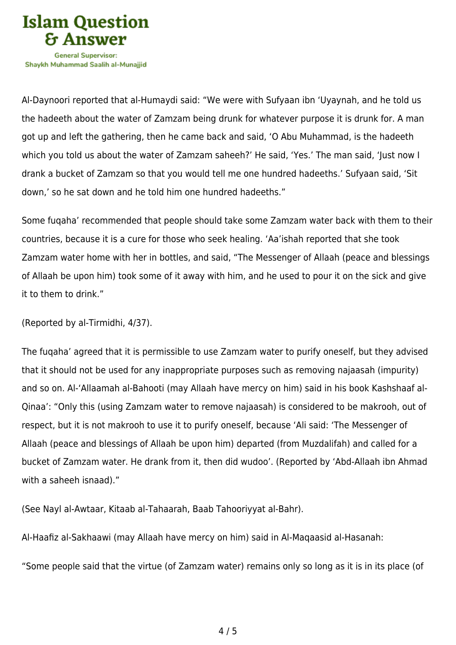

Al-Daynoori reported that al-Humaydi said: "We were with Sufyaan ibn 'Uyaynah, and he told us the hadeeth about the water of Zamzam being drunk for whatever purpose it is drunk for. A man got up and left the gathering, then he came back and said, 'O Abu Muhammad, is the hadeeth which you told us about the water of Zamzam saheeh?' He said, 'Yes.' The man said, 'Just now I drank a bucket of Zamzam so that you would tell me one hundred hadeeths.' Sufyaan said, 'Sit down,' so he sat down and he told him one hundred hadeeths."

Some fuqaha' recommended that people should take some Zamzam water back with them to their countries, because it is a cure for those who seek healing. 'Aa'ishah reported that she took Zamzam water home with her in bottles, and said, "The Messenger of Allaah (peace and blessings of Allaah be upon him) took some of it away with him, and he used to pour it on the sick and give it to them to drink."

(Reported by al-Tirmidhi, 4/37).

The fuqaha' agreed that it is permissible to use Zamzam water to purify oneself, but they advised that it should not be used for any inappropriate purposes such as removing najaasah (impurity) and so on. Al-'Allaamah al-Bahooti (may Allaah have mercy on him) said in his book Kashshaaf al-Qinaa': "Only this (using Zamzam water to remove najaasah) is considered to be makrooh, out of respect, but it is not makrooh to use it to purify oneself, because 'Ali said: 'The Messenger of Allaah (peace and blessings of Allaah be upon him) departed (from Muzdalifah) and called for a bucket of Zamzam water. He drank from it, then did wudoo'. (Reported by 'Abd-Allaah ibn Ahmad with a saheeh isnaad)."

(See Nayl al-Awtaar, Kitaab al-Tahaarah, Baab Tahooriyyat al-Bahr).

Al-Haafiz al-Sakhaawi (may Allaah have mercy on him) said in Al-Maqaasid al-Hasanah:

"Some people said that the virtue (of Zamzam water) remains only so long as it is in its place (of